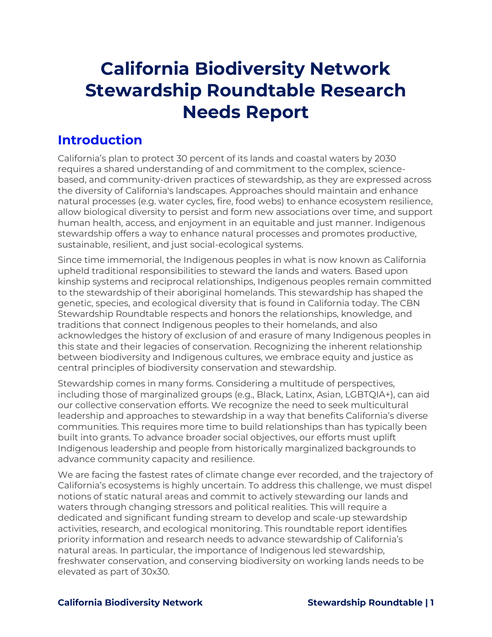# **California Biodiversity Network Stewardship Roundtable Research Needs Report**

# **Introduction**

California's plan to protect 30 percent of its lands and coastal waters by 2030 requires a shared understanding of and commitment to the complex, sciencebased, and community-driven practices of stewardship, as they are expressed across the diversity of California's landscapes. Approaches should maintain and enhance natural processes (e.g. water cycles, fire, food webs) to enhance ecosystem resilience, allow biological diversity to persist and form new associations over time, and support human health, access, and enjoyment in an equitable and just manner. Indigenous stewardship offers a way to enhance natural processes and promotes productive, sustainable, resilient, and just social-ecological systems.

Since time immemorial, the Indigenous peoples in what is now known as California upheld traditional responsibilities to steward the lands and waters. Based upon kinship systems and reciprocal relationships, Indigenous peoples remain committed to the stewardship of their aboriginal homelands. This stewardship has shaped the genetic, species, and ecological diversity that is found in California today. The CBN Stewardship Roundtable respects and honors the relationships, knowledge, and traditions that connect Indigenous peoples to their homelands, and also acknowledges the history of exclusion of and erasure of many Indigenous peoples in this state and their legacies of conservation. Recognizing the inherent relationship between biodiversity and Indigenous cultures, we embrace equity and justice as central principles of biodiversity conservation and stewardship.

Stewardship comes in many forms. Considering a multitude of perspectives, including those of marginalized groups (e.g., Black, Latinx, Asian, LGBTQIA+), can aid our collective conservation efforts. We recognize the need to seek multicultural leadership and approaches to stewardship in a way that benefits California's diverse communities. This requires more time to build relationships than has typically been built into grants. To advance broader social objectives, our efforts must uplift Indigenous leadership and people from historically marginalized backgrounds to advance community capacity and resilience.

We are facing the fastest rates of climate change ever recorded, and the trajectory of California's ecosystems is highly uncertain. To address this challenge, we must dispel notions of static natural areas and commit to actively stewarding our lands and waters through changing stressors and political realities. This will require a dedicated and significant funding stream to develop and scale-up stewardship activities, research, and ecological monitoring. This roundtable report identifies priority information and research needs to advance stewardship of California's natural areas. In particular, the importance of Indigenous led stewardship, freshwater conservation, and conserving biodiversity on working lands needs to be elevated as part of 30x30.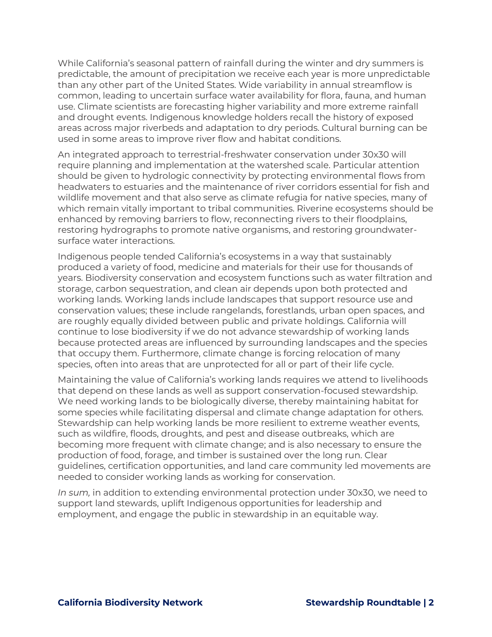While California's seasonal pattern of rainfall during the winter and dry summers is predictable, the amount of precipitation we receive each year is more unpredictable than any other part of the United States. Wide variability in annual streamflow is common, leading to uncertain surface water availability for flora, fauna, and human use. Climate scientists are forecasting higher variability and more extreme rainfall and drought events. Indigenous knowledge holders recall the history of exposed areas across major riverbeds and adaptation to dry periods. Cultural burning can be used in some areas to improve river flow and habitat conditions.

An integrated approach to terrestrial-freshwater conservation under 30x30 will require planning and implementation at the watershed scale. Particular attention should be given to hydrologic connectivity by protecting environmental flows from headwaters to estuaries and the maintenance of river corridors essential for fish and wildlife movement and that also serve as climate refugia for native species, many of which remain vitally important to tribal communities. Riverine ecosystems should be enhanced by removing barriers to flow, reconnecting rivers to their floodplains, restoring hydrographs to promote native organisms, and restoring groundwatersurface water interactions.

Indigenous people tended California's ecosystems in a way that sustainably produced a variety of food, medicine and materials for their use for thousands of years. Biodiversity conservation and ecosystem functions such as water filtration and storage, carbon sequestration, and clean air depends upon both protected and working lands. Working lands include landscapes that support resource use and conservation values; these include rangelands, forestlands, urban open spaces, and are roughly equally divided between public and private holdings. California will continue to lose biodiversity if we do not advance stewardship of working lands because protected areas are influenced by surrounding landscapes and the species that occupy them. Furthermore, climate change is forcing relocation of many species, often into areas that are unprotected for all or part of their life cycle.

Maintaining the value of California's working lands requires we attend to livelihoods that depend on these lands as well as support conservation-focused stewardship. We need working lands to be biologically diverse, thereby maintaining habitat for some species while facilitating dispersal and climate change adaptation for others. Stewardship can help working lands be more resilient to extreme weather events, such as wildfire, floods, droughts, and pest and disease outbreaks, which are becoming more frequent with climate change; and is also necessary to ensure the production of food, forage, and timber is sustained over the long run. Clear guidelines, certification opportunities, and land care community led movements are needed to consider working lands as working for conservation.

*In sum,* in addition to extending environmental protection under 30x30, we need to support land stewards, uplift Indigenous opportunities for leadership and employment, and engage the public in stewardship in an equitable way.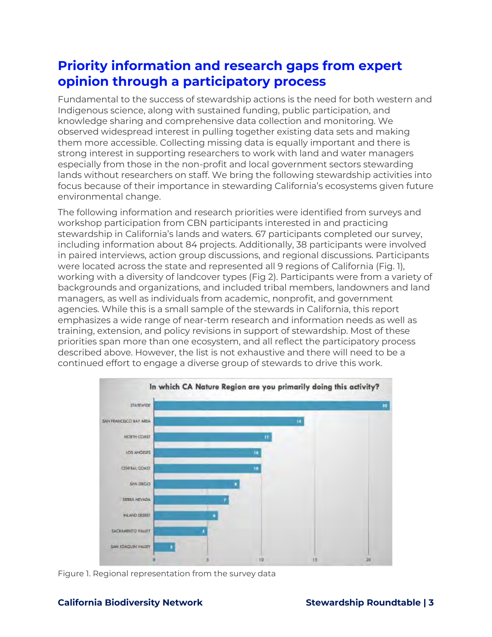# **Priority information and research gaps from expert opinion through a participatory process**

Fundamental to the success of stewardship actions is the need for both western and Indigenous science, along with sustained funding, public participation, and knowledge sharing and comprehensive data collection and monitoring. We observed widespread interest in pulling together existing data sets and making them more accessible. Collecting missing data is equally important and there is strong interest in supporting researchers to work with land and water managers especially from those in the non-profit and local government sectors stewarding lands without researchers on staff. We bring the following stewardship activities into focus because of their importance in stewarding California's ecosystems given future environmental change.

The following information and research priorities were identified from surveys and workshop participation from CBN participants interested in and practicing stewardship in California's lands and waters. 67 participants completed our survey, including information about 84 projects. Additionally, 38 participants were involved in paired interviews, action group discussions, and regional discussions. Participants were located across the state and represented all 9 regions of California (Fig. 1), working with a diversity of landcover types (Fig 2). Participants were from a variety of backgrounds and organizations, and included tribal members, landowners and land managers, as well as individuals from academic, nonprofit, and government agencies. While this is a small sample of the stewards in California, this report emphasizes a wide range of near-term research and information needs as well as training, extension, and policy revisions in support of stewardship. Most of these priorities span more than one ecosystem, and all reflect the participatory process described above. However, the list is not exhaustive and there will need to be a continued effort to engage a diverse group of stewards to drive this work.



Figure 1. Regional representation from the survey data

# **California Biodiversity Network Stewardship Roundtable | 3**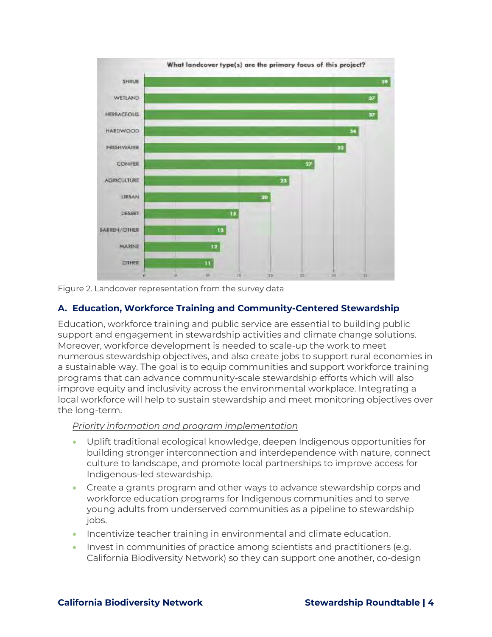

Figure 2. Landcover representation from the survey data

# **A. Education, Workforce Training and Community-Centered Stewardship**

Education, workforce training and public service are essential to building public support and engagement in stewardship activities and climate change solutions. Moreover, workforce development is needed to scale-up the work to meet numerous stewardship objectives, and also create jobs to support rural economies in a sustainable way. The goal is to equip communities and support workforce training programs that can advance community-scale stewardship efforts which will also improve equity and inclusivity across the environmental workplace. Integrating a local workforce will help to sustain stewardship and meet monitoring objectives over the long-term.

#### *Priority information and program implementation*

- Uplift traditional ecological knowledge, deepen Indigenous opportunities for building stronger interconnection and interdependence with nature, connect culture to landscape, and promote local partnerships to improve access for Indigenous-led stewardship.
- Create a grants program and other ways to advance stewardship corps and workforce education programs for Indigenous communities and to serve young adults from underserved communities as a pipeline to stewardship jobs.
- Incentivize teacher training in environmental and climate education.
- Invest in communities of practice among scientists and practitioners (e.g. California Biodiversity Network) so they can support one another, co-design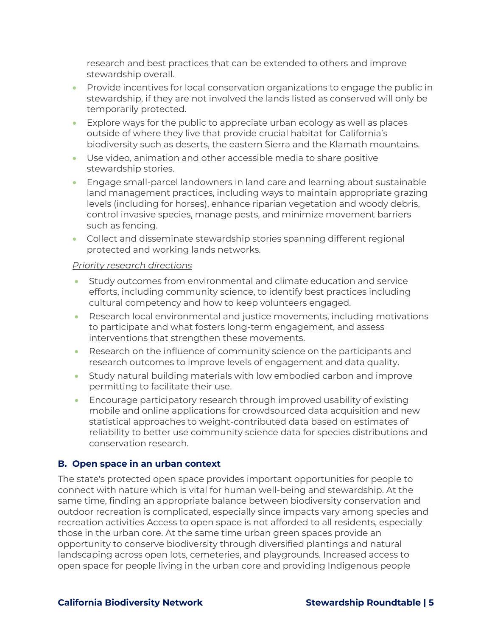research and best practices that can be extended to others and improve stewardship overall.

- Provide incentives for local conservation organizations to engage the public in stewardship, if they are not involved the lands listed as conserved will only be temporarily protected.
- Explore ways for the public to appreciate urban ecology as well as places outside of where they live that provide crucial habitat for California's biodiversity such as deserts, the eastern Sierra and the Klamath mountains.
- Use video, animation and other accessible media to share positive stewardship stories.
- Engage small-parcel landowners in land care and learning about sustainable land management practices, including ways to maintain appropriate grazing levels (including for horses), enhance riparian vegetation and woody debris, control invasive species, manage pests, and minimize movement barriers such as fencing.
- Collect and disseminate stewardship stories spanning different regional protected and working lands networks.

#### *Priority research directions*

- Study outcomes from environmental and climate education and service efforts, including community science, to identify best practices including cultural competency and how to keep volunteers engaged.
- Research local environmental and justice movements, including motivations to participate and what fosters long-term engagement, and assess interventions that strengthen these movements.
- Research on the influence of community science on the participants and research outcomes to improve levels of engagement and data quality.
- Study natural building materials with low embodied carbon and improve permitting to facilitate their use.
- Encourage participatory research through improved usability of existing mobile and online applications for crowdsourced data acquisition and new statistical approaches to weight-contributed data based on estimates of reliability to better use community science data for species distributions and conservation research.

# **B. Open space in an urban context**

The state's protected open space provides important opportunities for people to connect with nature which is vital for human well-being and stewardship. At the same time, finding an appropriate balance between biodiversity conservation and outdoor recreation is complicated, especially since impacts vary among species and recreation activities Access to open space is not afforded to all residents, especially those in the urban core. At the same time urban green spaces provide an opportunity to conserve biodiversity through diversified plantings and natural landscaping across open lots, cemeteries, and playgrounds. Increased access to open space for people living in the urban core and providing Indigenous people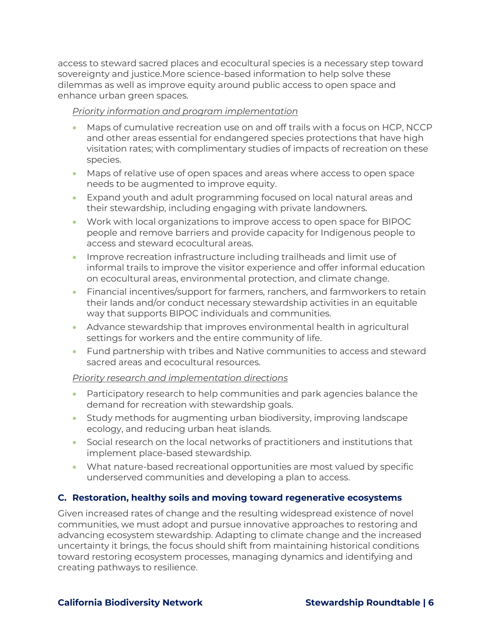access to steward sacred places and ecocultural species is a necessary step toward sovereignty and justice.More science-based information to help solve these dilemmas as well as improve equity around public access to open space and enhance urban green spaces.

### *Priority information and program implementation*

- Maps of cumulative recreation use on and off trails with a focus on HCP, NCCP and other areas essential for endangered species protections that have high visitation rates; with complimentary studies of impacts of recreation on these species.
- Maps of relative use of open spaces and areas where access to open space needs to be augmented to improve equity.
- Expand youth and adult programming focused on local natural areas and their stewardship, including engaging with private landowners.
- Work with local organizations to improve access to open space for BIPOC people and remove barriers and provide capacity for Indigenous people to access and steward ecocultural areas.
- Improve recreation infrastructure including trailheads and limit use of informal trails to improve the visitor experience and offer informal education on ecocultural areas, environmental protection, and climate change.
- Financial incentives/support for farmers, ranchers, and farmworkers to retain their lands and/or conduct necessary stewardship activities in an equitable way that supports BIPOC individuals and communities.
- Advance stewardship that improves environmental health in agricultural settings for workers and the entire community of life.
- Fund partnership with tribes and Native communities to access and steward sacred areas and ecocultural resources.

#### *Priority research and implementation directions*

- Participatory research to help communities and park agencies balance the demand for recreation with stewardship goals.
- Study methods for augmenting urban biodiversity, improving landscape ecology, and reducing urban heat islands.
- Social research on the local networks of practitioners and institutions that implement place-based stewardship.
- What nature-based recreational opportunities are most valued by specific underserved communities and developing a plan to access.

# **C. Restoration, healthy soils and moving toward regenerative ecosystems**

Given increased rates of change and the resulting widespread existence of novel communities, we must adopt and pursue innovative approaches to restoring and advancing ecosystem stewardship. Adapting to climate change and the increased uncertainty it brings, the focus should shift from maintaining historical conditions toward restoring ecosystem processes, managing dynamics and identifying and creating pathways to resilience.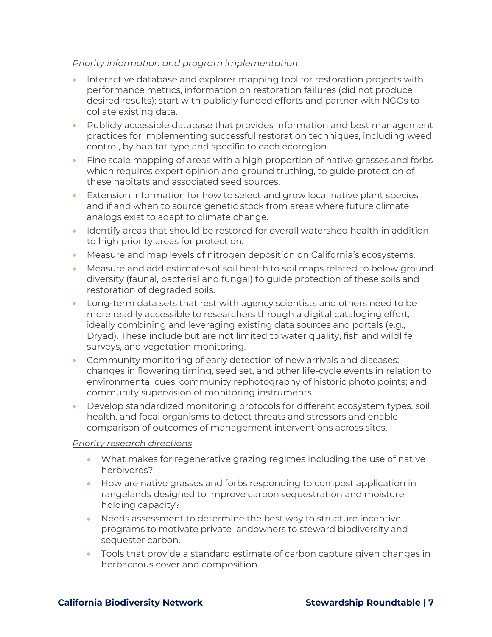#### *Priority information and program implementation*

- Interactive database and explorer mapping tool for restoration projects with performance metrics, information on restoration failures (did not produce desired results); start with publicly funded efforts and partner with NGOs to collate existing data.
- Publicly accessible database that provides information and best management practices for implementing successful restoration techniques, including weed control, by habitat type and specific to each ecoregion.
- Fine scale mapping of areas with a high proportion of native grasses and forbs which requires expert opinion and ground truthing, to guide protection of these habitats and associated seed sources.
- Extension information for how to select and grow local native plant species and if and when to source genetic stock from areas where future climate analogs exist to adapt to climate change.
- Identify areas that should be restored for overall watershed health in addition to high priority areas for protection.
- Measure and map levels of nitrogen deposition on California's ecosystems.
- Measure and add estimates of soil health to soil maps related to below ground diversity (faunal, bacterial and fungal) to guide protection of these soils and restoration of degraded soils.
- Long-term data sets that rest with agency scientists and others need to be more readily accessible to researchers through a digital cataloging effort, ideally combining and leveraging existing data sources and portals (e.g., Dryad). These include but are not limited to water quality, fish and wildlife surveys, and vegetation monitoring.
- Community monitoring of early detection of new arrivals and diseases; changes in flowering timing, seed set, and other life-cycle events in relation to environmental cues; community rephotography of historic photo points; and community supervision of monitoring instruments.
- Develop standardized monitoring protocols for different ecosystem types, soil health, and focal organisms to detect threats and stressors and enable comparison of outcomes of management interventions across sites.

#### *Priority research directions*

- What makes for regenerative grazing regimes including the use of native herbivores?
- How are native grasses and forbs responding to compost application in rangelands designed to improve carbon sequestration and moisture holding capacity?
- Needs assessment to determine the best way to structure incentive programs to motivate private landowners to steward biodiversity and sequester carbon.
- Tools that provide a standard estimate of carbon capture given changes in herbaceous cover and composition.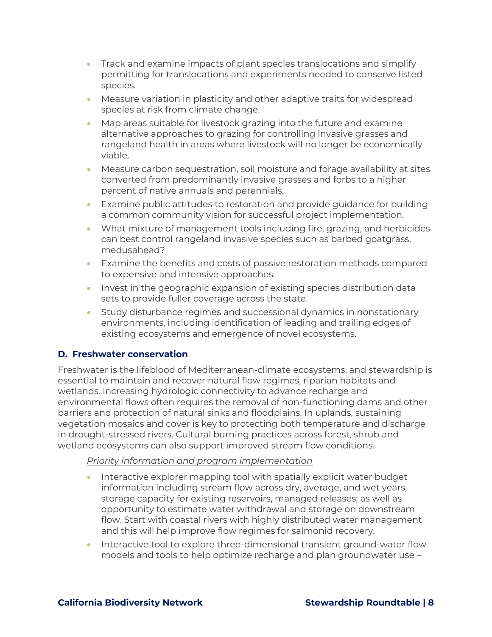- Track and examine impacts of plant species translocations and simplify permitting for translocations and experiments needed to conserve listed species.
- Measure variation in plasticity and other adaptive traits for widespread species at risk from climate change.
- Map areas suitable for livestock grazing into the future and examine alternative approaches to grazing for controlling invasive grasses and rangeland health in areas where livestock will no longer be economically viable.
- Measure carbon sequestration, soil moisture and forage availability at sites converted from predominantly invasive grasses and forbs to a higher percent of native annuals and perennials.
- Examine public attitudes to restoration and provide guidance for building a common community vision for successful project implementation.
- What mixture of management tools including fire, grazing, and herbicides can best control rangeland invasive species such as barbed goatgrass, medusahead?
- Examine the benefits and costs of passive restoration methods compared to expensive and intensive approaches.
- Invest in the geographic expansion of existing species distribution data sets to provide fuller coverage across the state.
- Study disturbance regimes and successional dynamics in nonstationary environments, including identification of leading and trailing edges of existing ecosystems and emergence of novel ecosystems.

# **D. Freshwater conservation**

Freshwater is the lifeblood of Mediterranean-climate ecosystems, and stewardship is essential to maintain and recover natural flow regimes, riparian habitats and wetlands. Increasing hydrologic connectivity to advance recharge and environmental flows often requires the removal of non-functioning dams and other barriers and protection of natural sinks and floodplains. In uplands, sustaining vegetation mosaics and cover is key to protecting both temperature and discharge in drought-stressed rivers. Cultural burning practices across forest, shrub and wetland ecosystems can also support improved stream flow conditions.

# *Priority information and program implementation*

- Interactive explorer mapping tool with spatially explicit water budget information including stream flow across dry, average, and wet years, storage capacity for existing reservoirs, managed releases; as well as opportunity to estimate water withdrawal and storage on downstream flow. Start with coastal rivers with highly distributed water management and this will help improve flow regimes for salmonid recovery.
- Interactive tool to explore three-dimensional transient ground-water flow models and tools to help optimize recharge and plan groundwater use –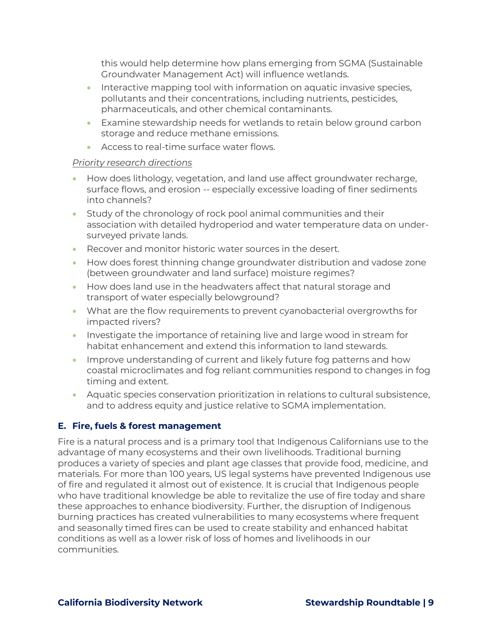this would help determine how plans emerging from SGMA (Sustainable Groundwater Management Act) will influence wetlands.

- Interactive mapping tool with information on aquatic invasive species, pollutants and their concentrations, including nutrients, pesticides, pharmaceuticals, and other chemical contaminants.
- Examine stewardship needs for wetlands to retain below ground carbon storage and reduce methane emissions.
- Access to real-time surface water flows.

#### *Priority research directions*

- How does lithology, vegetation, and land use affect groundwater recharge, surface flows, and erosion -- especially excessive loading of finer sediments into channels?
- Study of the chronology of rock pool animal communities and their association with detailed hydroperiod and water temperature data on undersurveyed private lands.
- Recover and monitor historic water sources in the desert.
- How does forest thinning change groundwater distribution and vadose zone (between groundwater and land surface) moisture regimes?
- How does land use in the headwaters affect that natural storage and transport of water especially belowground?
- What are the flow requirements to prevent cyanobacterial overgrowths for impacted rivers?
- Investigate the importance of retaining live and large wood in stream for habitat enhancement and extend this information to land stewards.
- Improve understanding of current and likely future fog patterns and how coastal microclimates and fog reliant communities respond to changes in fog timing and extent.
- Aquatic species conservation prioritization in relations to cultural subsistence, and to address equity and justice relative to SGMA implementation.

# **E. Fire, fuels & forest management**

Fire is a natural process and is a primary tool that Indigenous Californians use to the advantage of many ecosystems and their own livelihoods. Traditional burning produces a variety of species and plant age classes that provide food, medicine, and materials. For more than 100 years, US legal systems have prevented Indigenous use of fire and regulated it almost out of existence. It is crucial that Indigenous people who have traditional knowledge be able to revitalize the use of fire today and share these approaches to enhance biodiversity. Further, the disruption of Indigenous burning practices has created vulnerabilities to many ecosystems where frequent and seasonally timed fires can be used to create stability and enhanced habitat conditions as well as a lower risk of loss of homes and livelihoods in our communities.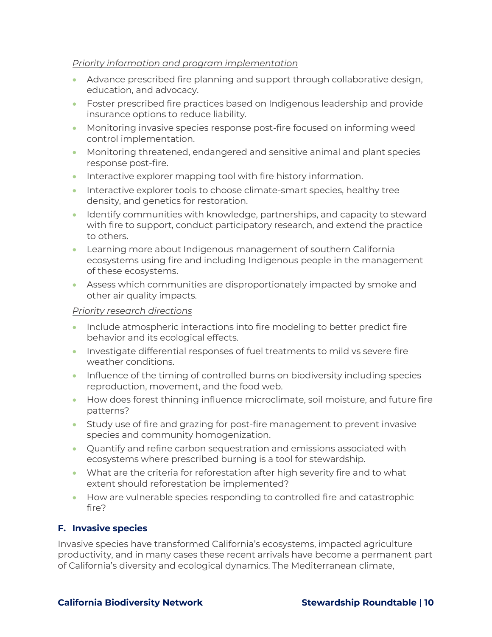#### *Priority information and program implementation*

- Advance prescribed fire planning and support through collaborative design, education, and advocacy.
- Foster prescribed fire practices based on Indigenous leadership and provide insurance options to reduce liability.
- Monitoring invasive species response post-fire focused on informing weed control implementation.
- Monitoring threatened, endangered and sensitive animal and plant species response post-fire.
- Interactive explorer mapping tool with fire history information.
- Interactive explorer tools to choose climate-smart species, healthy tree density, and genetics for restoration.
- Identify communities with knowledge, partnerships, and capacity to steward with fire to support, conduct participatory research, and extend the practice to others.
- Learning more about Indigenous management of southern California ecosystems using fire and including Indigenous people in the management of these ecosystems.
- Assess which communities are disproportionately impacted by smoke and other air quality impacts.

#### *Priority research directions*

- Include atmospheric interactions into fire modeling to better predict fire behavior and its ecological effects.
- Investigate differential responses of fuel treatments to mild vs severe fire weather conditions.
- Influence of the timing of controlled burns on biodiversity including species reproduction, movement, and the food web.
- How does forest thinning influence microclimate, soil moisture, and future fire patterns?
- Study use of fire and grazing for post-fire management to prevent invasive species and community homogenization.
- Quantify and refine carbon sequestration and emissions associated with ecosystems where prescribed burning is a tool for stewardship.
- What are the criteria for reforestation after high severity fire and to what extent should reforestation be implemented?
- How are vulnerable species responding to controlled fire and catastrophic fire?

# **F. Invasive species**

Invasive species have transformed California's ecosystems, impacted agriculture productivity, and in many cases these recent arrivals have become a permanent part of California's diversity and ecological dynamics. The Mediterranean climate,

# **California Biodiversity Network Stewardship Roundtable | 10**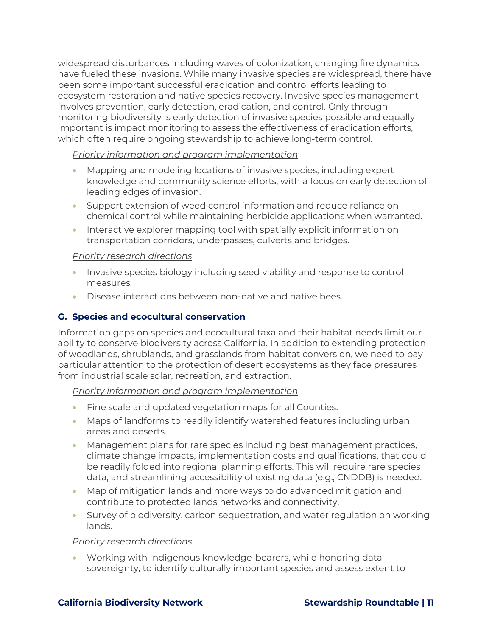widespread disturbances including waves of colonization, changing fire dynamics have fueled these invasions. While many invasive species are widespread, there have been some important successful eradication and control efforts leading to ecosystem restoration and native species recovery. Invasive species management involves prevention, early detection, eradication, and control. Only through monitoring biodiversity is early detection of invasive species possible and equally important is impact monitoring to assess the effectiveness of eradication efforts, which often require ongoing stewardship to achieve long-term control.

### *Priority information and program implementation*

- Mapping and modeling locations of invasive species, including expert knowledge and community science efforts, with a focus on early detection of leading edges of invasion.
- Support extension of weed control information and reduce reliance on chemical control while maintaining herbicide applications when warranted.
- Interactive explorer mapping tool with spatially explicit information on transportation corridors, underpasses, culverts and bridges.

### *Priority research directions*

- Invasive species biology including seed viability and response to control measures.
- Disease interactions between non-native and native bees.

# **G. Species and ecocultural conservation**

Information gaps on species and ecocultural taxa and their habitat needs limit our ability to conserve biodiversity across California. In addition to extending protection of woodlands, shrublands, and grasslands from habitat conversion, we need to pay particular attention to the protection of desert ecosystems as they face pressures from industrial scale solar, recreation, and extraction.

#### *Priority information and program implementation*

- Fine scale and updated vegetation maps for all Counties.
- Maps of landforms to readily identify watershed features including urban areas and deserts.
- Management plans for rare species including best management practices, climate change impacts, implementation costs and qualifications, that could be readily folded into regional planning efforts. This will require rare species data, and streamlining accessibility of existing data (e.g., CNDDB) is needed.
- Map of mitigation lands and more ways to do advanced mitigation and contribute to protected lands networks and connectivity.
- Survey of biodiversity, carbon sequestration, and water regulation on working lands.

#### *Priority research directions*

• Working with Indigenous knowledge-bearers, while honoring data sovereignty, to identify culturally important species and assess extent to

#### **California Biodiversity Network Stewardship Roundtable | 11**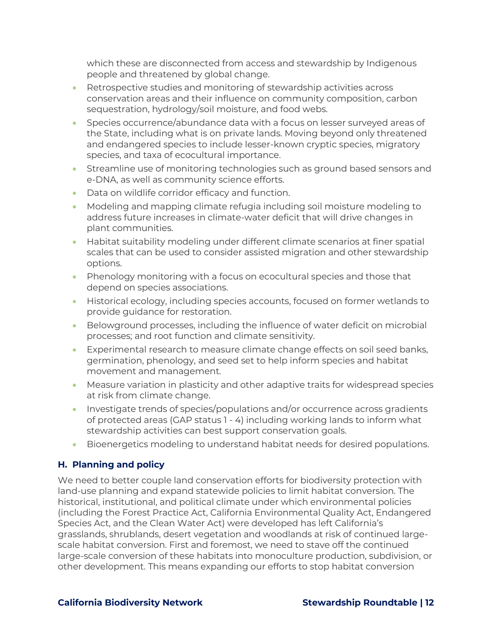which these are disconnected from access and stewardship by Indigenous people and threatened by global change.

- Retrospective studies and monitoring of stewardship activities across conservation areas and their influence on community composition, carbon sequestration, hydrology/soil moisture, and food webs.
- Species occurrence/abundance data with a focus on lesser surveyed areas of the State, including what is on private lands. Moving beyond only threatened and endangered species to include lesser-known cryptic species, migratory species, and taxa of ecocultural importance.
- Streamline use of monitoring technologies such as ground based sensors and e-DNA, as well as community science efforts.
- Data on wildlife corridor efficacy and function.
- Modeling and mapping climate refugia including soil moisture modeling to address future increases in climate-water deficit that will drive changes in plant communities.
- Habitat suitability modeling under different climate scenarios at finer spatial scales that can be used to consider assisted migration and other stewardship options.
- Phenology monitoring with a focus on ecocultural species and those that depend on species associations.
- Historical ecology, including species accounts, focused on former wetlands to provide guidance for restoration.
- Belowground processes, including the influence of water deficit on microbial processes; and root function and climate sensitivity.
- Experimental research to measure climate change effects on soil seed banks, germination, phenology, and seed set to help inform species and habitat movement and management.
- Measure variation in plasticity and other adaptive traits for widespread species at risk from climate change.
- Investigate trends of species/populations and/or occurrence across gradients of protected areas (GAP status 1 - 4) including working lands to inform what stewardship activities can best support conservation goals.
- Bioenergetics modeling to understand habitat needs for desired populations.

# **H. Planning and policy**

We need to better couple land conservation efforts for biodiversity protection with land-use planning and expand statewide policies to limit habitat conversion. The historical, institutional, and political climate under which environmental policies (including the Forest Practice Act, California Environmental Quality Act, Endangered Species Act, and the Clean Water Act) were developed has left California's grasslands, shrublands, desert vegetation and woodlands at risk of continued largescale habitat conversion. First and foremost, we need to stave off the continued large-scale conversion of these habitats into monoculture production, subdivision, or other development. This means expanding our efforts to stop habitat conversion